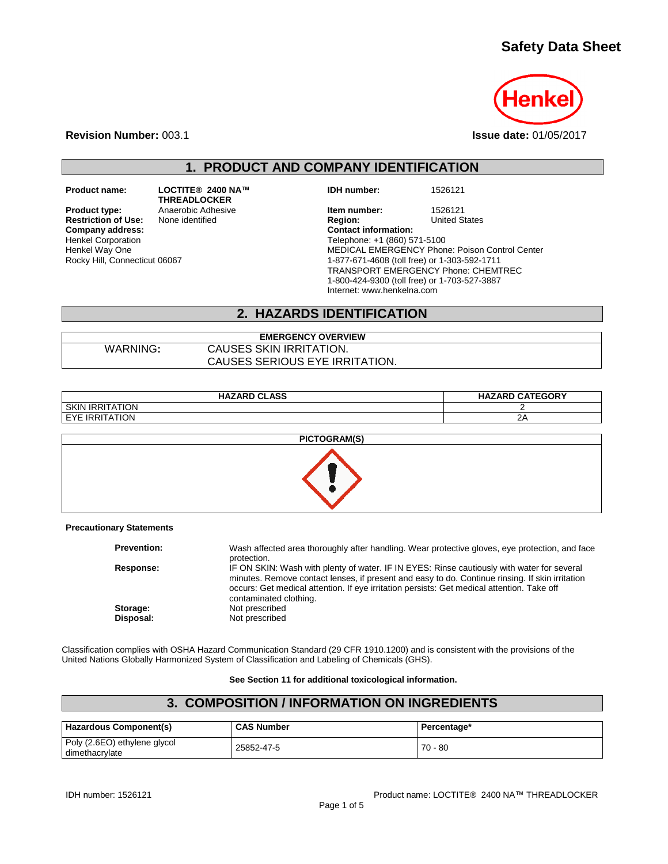# **Safety Data Sheet**



**Revision Number:** 003.1 **Issue date:** 01/05/2017

**1. PRODUCT AND COMPANY IDENTIFICATION**

**Restriction of Use:**<br>Company address: Henkel Corporation Henkel Way One Rocky Hill, Connecticut 06067

**Product name: LOCTITE® 2400 NA™ THREADLOCKER**

**IDH number:** 1526121

**Product type:** Anaerobic Adhesive **Integral Communist Product 1526121**<br> **Restriction of Use:** None identified **Integral Product Product Product** United States **Company address: Contact information:** Telephone: +1 (860) 571-5100 MEDICAL EMERGENCY Phone: Poison Control Center 1-877-671-4608 (toll free) or 1-303-592-1711 TRANSPORT EMERGENCY Phone: CHEMTREC 1-800-424-9300 (toll free) or 1-703-527-3887 Internet: www.henkelna.com

### **2. HAZARDS IDENTIFICATION**

**EMERGENCY OVERVIEW** WARNING**:** CAUSES SKIN IRRITATION. CAUSES SERIOUS EYE IRRITATION.

| <b>HAZARD CLASS</b>                        | <b>HAZARD CATEGORY</b> |
|--------------------------------------------|------------------------|
| ГІON<br><b>SKIN</b><br><b>IRRIT</b><br>  A |                        |
| ` TION<br><b>IRRIT</b><br><b>FYF</b><br>ТΔ | -<br>$\epsilon$ r      |



#### **Precautionary Statements**

| <b>Prevention:</b>    | Wash affected area thoroughly after handling. Wear protective gloves, eye protection, and face<br>protection.                                                                                                                                                                                                         |
|-----------------------|-----------------------------------------------------------------------------------------------------------------------------------------------------------------------------------------------------------------------------------------------------------------------------------------------------------------------|
| Response:             | IF ON SKIN: Wash with plenty of water. IF IN EYES: Rinse cautiously with water for several<br>minutes. Remove contact lenses, if present and easy to do. Continue rinsing. If skin irritation<br>occurs: Get medical attention. If eye irritation persists: Get medical attention. Take off<br>contaminated clothing. |
| Storage:<br>Disposal: | Not prescribed<br>Not prescribed                                                                                                                                                                                                                                                                                      |

Classification complies with OSHA Hazard Communication Standard (29 CFR 1910.1200) and is consistent with the provisions of the United Nations Globally Harmonized System of Classification and Labeling of Chemicals (GHS).

#### **See Section 11 for additional toxicological information.**

## **3. COMPOSITION / INFORMATION ON INGREDIENTS**

| <b>Hazardous Component(s)</b>                  | <b>CAS Number</b> | Percentage* |
|------------------------------------------------|-------------------|-------------|
| Poly (2.6EO) ethylene glycol<br>dimethacrvlate | 25852-47-5        | $70 - 80$   |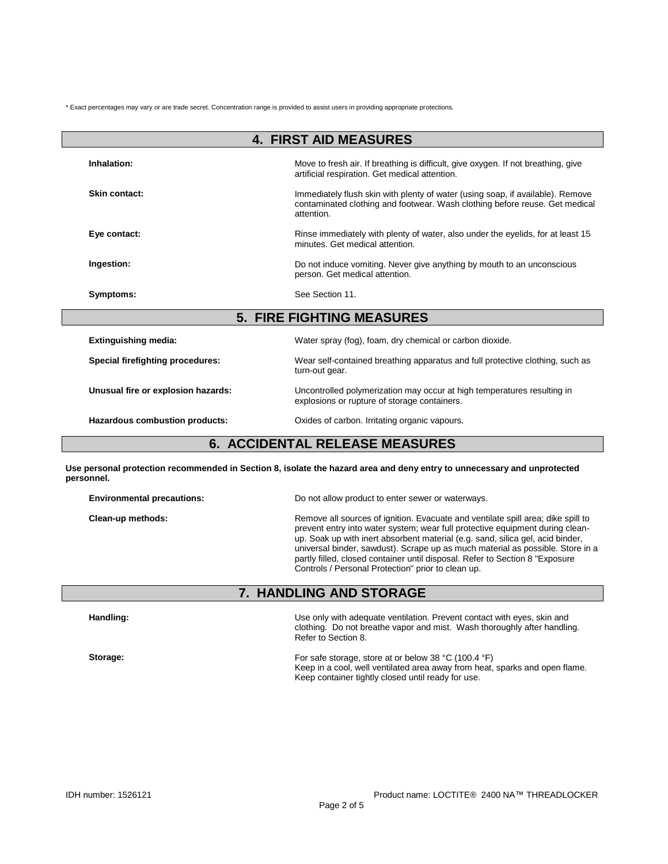\* Exact percentages may vary or are trade secret. Concentration range is provided to assist users in providing appropriate protections.

| <b>4. FIRST AID MEASURES</b>            |                                                                                                                                                                             |  |  |
|-----------------------------------------|-----------------------------------------------------------------------------------------------------------------------------------------------------------------------------|--|--|
| Inhalation:                             | Move to fresh air. If breathing is difficult, give oxygen. If not breathing, give<br>artificial respiration. Get medical attention.                                         |  |  |
| Skin contact:                           | Immediately flush skin with plenty of water (using soap, if available). Remove<br>contaminated clothing and footwear. Wash clothing before reuse. Get medical<br>attention. |  |  |
| Eye contact:                            | Rinse immediately with plenty of water, also under the eyelids, for at least 15<br>minutes. Get medical attention.                                                          |  |  |
| Ingestion:                              | Do not induce vomiting. Never give anything by mouth to an unconscious<br>person. Get medical attention.                                                                    |  |  |
| Symptoms:                               | See Section 11.                                                                                                                                                             |  |  |
| <b>5. FIRE FIGHTING MEASURES</b>        |                                                                                                                                                                             |  |  |
| <b>Extinguishing media:</b>             | Water spray (fog), foam, dry chemical or carbon dioxide.                                                                                                                    |  |  |
| <b>Special firefighting procedures:</b> | Wear self-contained breathing apparatus and full protective clothing, such as<br>turn-out gear.                                                                             |  |  |
| Unusual fire or explosion hazards:      | Uncontrolled polymerization may occur at high temperatures resulting in<br>explosions or rupture of storage containers.                                                     |  |  |
| Hazardous combustion products:          | Oxides of carbon. Irritating organic vapours.                                                                                                                               |  |  |
| <b>6. ACCIDENTAL RELEASE MEASURES</b>   |                                                                                                                                                                             |  |  |

**Use personal protection recommended in Section 8, isolate the hazard area and deny entry to unnecessary and unprotected personnel.**

| <b>Environmental precautions:</b> | Do not allow product to enter sewer or waterways.                                                                                                                                                                                                                                                                                                                                                                                                                            |  |  |
|-----------------------------------|------------------------------------------------------------------------------------------------------------------------------------------------------------------------------------------------------------------------------------------------------------------------------------------------------------------------------------------------------------------------------------------------------------------------------------------------------------------------------|--|--|
| Clean-up methods:                 | Remove all sources of ignition. Evacuate and ventilate spill area; dike spill to<br>prevent entry into water system; wear full protective equipment during clean-<br>up. Soak up with inert absorbent material (e.g. sand, silica gel, acid binder,<br>universal binder, sawdust). Scrape up as much material as possible. Store in a<br>partly filled, closed container until disposal. Refer to Section 8 "Exposure"<br>Controls / Personal Protection" prior to clean up. |  |  |

# **7. HANDLING AND STORAGE**

| Handling: | Use only with adequate ventilation. Prevent contact with eyes, skin and<br>clothing. Do not breathe vapor and mist. Wash thoroughly after handling.<br>Refer to Section 8.<br>For safe storage, store at or below 38 $^{\circ}$ C (100.4 $^{\circ}$ F)<br>Keep in a cool, well ventilated area away from heat, sparks and open flame.<br>Keep container tightly closed until ready for use. |  |
|-----------|---------------------------------------------------------------------------------------------------------------------------------------------------------------------------------------------------------------------------------------------------------------------------------------------------------------------------------------------------------------------------------------------|--|
| Storage:  |                                                                                                                                                                                                                                                                                                                                                                                             |  |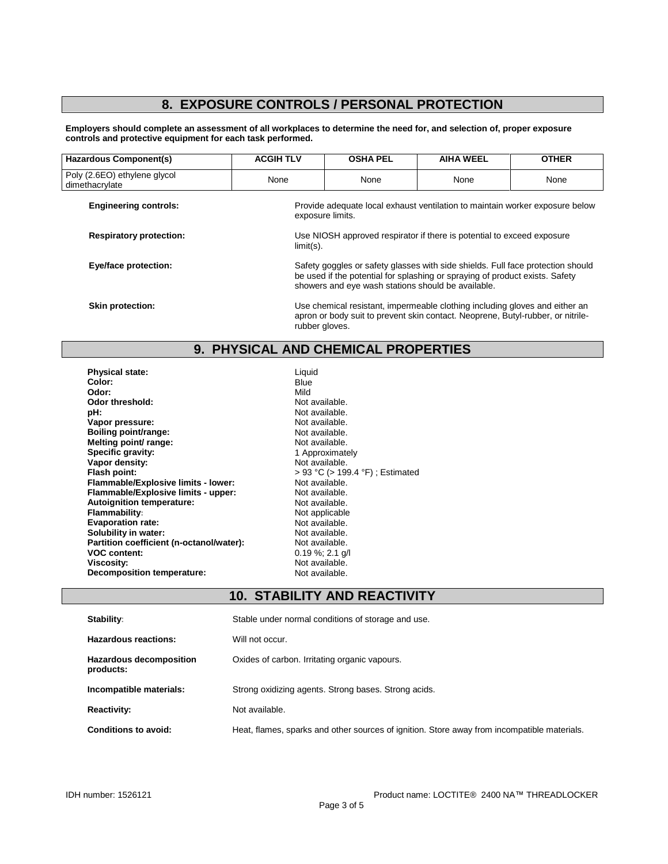# **8. EXPOSURE CONTROLS / PERSONAL PROTECTION**

**Employers should complete an assessment of all workplaces to determine the need for, and selection of, proper exposure controls and protective equipment for each task performed.**

| Hazardous Component(s)                         | <b>ACGIH TLV</b>                                                                                                                                                                                                      | <b>OSHA PEL</b>                                                                                                                                                                  | <b>AIHA WEEL</b> | <b>OTHER</b> |
|------------------------------------------------|-----------------------------------------------------------------------------------------------------------------------------------------------------------------------------------------------------------------------|----------------------------------------------------------------------------------------------------------------------------------------------------------------------------------|------------------|--------------|
| Poly (2.6EO) ethylene glycol<br>dimethacrylate | None                                                                                                                                                                                                                  | None                                                                                                                                                                             | None             | None         |
| <b>Engineering controls:</b>                   | Provide adequate local exhaust ventilation to maintain worker exposure below<br>exposure limits.                                                                                                                      |                                                                                                                                                                                  |                  |              |
| <b>Respiratory protection:</b>                 | Use NIOSH approved respirator if there is potential to exceed exposure<br>$limit(s)$ .                                                                                                                                |                                                                                                                                                                                  |                  |              |
| <b>Eye/face protection:</b>                    | Safety goggles or safety glasses with side shields. Full face protection should<br>be used if the potential for splashing or spraying of product exists. Safety<br>showers and eye wash stations should be available. |                                                                                                                                                                                  |                  |              |
| Skin protection:                               |                                                                                                                                                                                                                       | Use chemical resistant, impermeable clothing including gloves and either an<br>apron or body suit to prevent skin contact. Neoprene, Butyl-rubber, or nitrile-<br>rubber gloves. |                  |              |

# **9. PHYSICAL AND CHEMICAL PROPERTIES**

| Liquid                           |
|----------------------------------|
| Blue                             |
| Mild                             |
| Not available.                   |
| Not available.                   |
| Not available.                   |
| Not available.                   |
| Not available.                   |
| 1 Approximately                  |
| Not available.                   |
| > 93 °C (> 199.4 °F) ; Estimated |
| Not available.                   |
| Not available.                   |
| Not available.                   |
| Not applicable                   |
| Not available.                   |
| Not available.                   |
| Not available.                   |
| $0.19 \%$ ; 2.1 g/l              |
| Not available.                   |
| Not available.                   |
|                                  |

# **10. STABILITY AND REACTIVITY**

| Stability:                                  | Stable under normal conditions of storage and use.                                          |
|---------------------------------------------|---------------------------------------------------------------------------------------------|
| <b>Hazardous reactions:</b>                 | Will not occur.                                                                             |
| <b>Hazardous decomposition</b><br>products: | Oxides of carbon. Irritating organic vapours.                                               |
| Incompatible materials:                     | Strong oxidizing agents. Strong bases. Strong acids.                                        |
| <b>Reactivity:</b>                          | Not available.                                                                              |
| Conditions to avoid:                        | Heat, flames, sparks and other sources of ignition. Store away from incompatible materials. |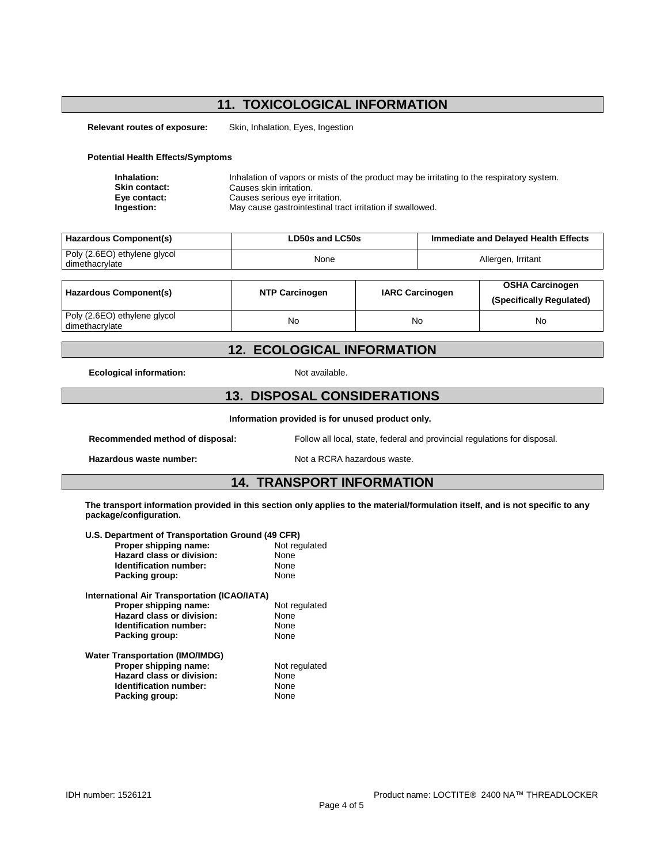# **11. TOXICOLOGICAL INFORMATION**

**Relevant routes of exposure:** Skin, Inhalation, Eyes, Ingestion

#### **Potential Health Effects/Symptoms**

| Inhalation:          | Inhalation of vapors or mists of the product may be irritating to the respiratory system. |
|----------------------|-------------------------------------------------------------------------------------------|
| <b>Skin contact:</b> | Causes skin irritation.                                                                   |
| Eye contact:         | Causes serious eye irritation.                                                            |
| Ingestion:           | May cause gastrointestinal tract irritation if swallowed.                                 |

| Hazardous Component(s)                         | LD50s and LC50s | Immediate and Delayed Health Effects |
|------------------------------------------------|-----------------|--------------------------------------|
| Poly (2.6EO) ethylene glycol<br>dimethacrylate | None            | Allergen, Irritant                   |
|                                                |                 |                                      |

| Hazardous Component(s)                         | <b>NTP Carcinogen</b> | <b>IARC Carcinogen</b> | <b>OSHA Carcinogen</b><br>(Specifically Regulated) |
|------------------------------------------------|-----------------------|------------------------|----------------------------------------------------|
| Poly (2.6EO) ethylene glycol<br>dimethacrylate | No                    | No                     | No                                                 |

### **12. ECOLOGICAL INFORMATION**

**Ecological information:** Not available.

## **13. DISPOSAL CONSIDERATIONS**

**Information provided is for unused product only.**

**Recommended method of disposal:** Follow all local, state, federal and provincial regulations for disposal.

**Hazardous waste number:** Not a RCRA hazardous waste.

#### **14. TRANSPORT INFORMATION**

**The transport information provided in this section only applies to the material/formulation itself, and is not specific to any package/configuration.**

| U.S. Department of Transportation Ground (49 CFR) |               |  |  |
|---------------------------------------------------|---------------|--|--|
| Proper shipping name:                             | Not regulated |  |  |
| Hazard class or division:                         | None          |  |  |
| Identification number:                            | None          |  |  |
| Packing group:                                    | None          |  |  |
| International Air Transportation (ICAO/IATA)      |               |  |  |
| Proper shipping name:                             | Not regulated |  |  |
| Hazard class or division:                         | None          |  |  |
| <b>Identification number:</b>                     | None          |  |  |
| Packing group:                                    | None          |  |  |
| <b>Water Transportation (IMO/IMDG)</b>            |               |  |  |
| Proper shipping name:                             | Not regulated |  |  |
| Hazard class or division:                         | None          |  |  |
| Identification number:                            | None          |  |  |
| Packing group:                                    | None          |  |  |
|                                                   |               |  |  |